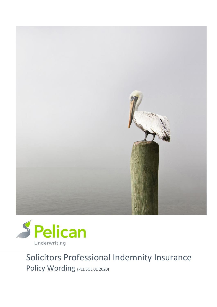



Solicitors Professional Indemnity Insurance Policy Wording (PEL SOL 01 2020)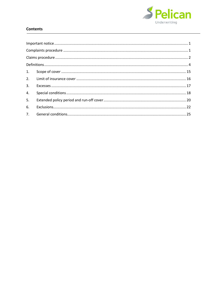

# **Contents**

| 3. |  |  |
|----|--|--|
| 4. |  |  |
| 5. |  |  |
| 6. |  |  |
|    |  |  |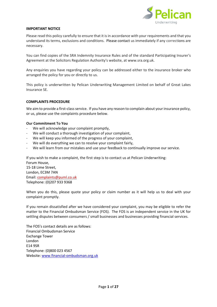

#### <span id="page-2-0"></span>**IMPORTANT NOTICE**

Please read this policy carefully to ensure that it is in accordance with your requirements and that you understand its terms, exclusions and conditions. Please contact us immediately if any corrections are necessary.

You can find copies of the SRA Indemnity Insurance Rules and of the standard Participating Insurer's Agreement at the Solicitors Regulation Authority's website, a[t www.sra.org.uk.](http://www.sra.org.uk/)

Any enquiries you have regarding your policy can be addressed either to the insurance broker who arranged the policy for you or directly to us.

This policy is underwritten by Pelican Underwriting Management Limited on behalf of Great Lakes Insurance SE.

#### <span id="page-2-1"></span>**COMPLAINTS PROCEDURE**

We aim to provide a first-class service. If you have any reason to complain about your insurance policy, or us, please use the complaints procedure below.

#### **Our Commitment To You**

- We will acknowledge your complaint promptly,
- We will conduct a thorough investigation of your complaint,
- We will keep you informed of the progress of your complaint,
- We will do everything we can to resolve your complaint fairly,
- We will learn from our mistakes and use your feedback to continually improve our service.

If you wish to make a complaint, the first step is to contact us at Pelican Underwriting: Forum House, 15-18 Lime Street, London, EC3M 7AN

Email: [complaints@puml.co.uk](mailto:complaints@puml.co.uk) Telephone: (0)207 933 9368

When you do this, please quote your policy or claim number as it will help us to deal with your complaint promptly.

If you remain dissatisfied after we have considered your complaint, you may be eligible to refer the matter to the Financial Ombudsman Service (FOS). The FOS is an independent service in the UK for settling disputes between consumers / small businesses and businesses providing financial services.

The FOS's contact details are as follows: Financial Ombudsman Service Exchange Tower London E14 9SR Telephone: (0)800 023 4567 Website[: www.financial-ombudsman.org.uk](http://www.financial-ombudsman.org.uk/)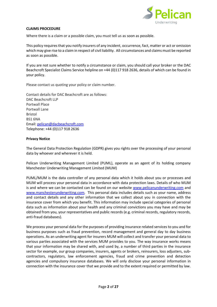

#### <span id="page-3-0"></span>**CLAIMS PROCEDURE**

Where there is a claim or a possible claim, you must tell us as soon as possible.

This policy requires that you notify insurers of any incident, occurrence, fact, matter or act or omission which may give rise to a claim in respect of civil liability. All circumstances and claims must be reported as soon as possible.

If you are not sure whether to notify a circumstance or claim, you should call your broker or the DAC Beachcroft Specialist Claims Service helpline on +44 (0)117 918 2636, details of which can be found in your policy.

Please contact us quoting your policy or claim number.

Contact details for DAC Beachcroft are as follows: DAC Beachcroft LLP Portwall Place Portwall Lane Bristol BS1 6NA Email: [pelican@dacbeachcroft.com](mailto:pelican@dacbeachcroft.com) Telephone: +44 (0)117 918 2636

## **Privacy Notice**

The General Data Protection Regulation (GDPR) gives you rights over the processing of your personal data by whoever and wherever it is held.

Pelican Underwriting Management Limited (PUML), operate as an agent of its holding company Manchester Underwriting Management Limited (MUM)

PUML/MUM is the data controller of any personal data which it holds about you or processes and MUM will process your personal data in accordance with data protection laws. Details of who MUM is and where we can be contacted can be found on our website [www.pelicanunderwriting.com](http://www.pelicanunderwriting.com/) and [www.manchesterunderwriting.com.](http://www.manchesterunderwriting.com/) This personal data includes details such as your name, address and contact details and any other information that we collect about you in connection with the insurance cover from which you benefit. This information may include special categories of personal data such as information about your health and any criminal convictions you may have and may be obtained from you, your representatives and public records (e.g. criminal records, regulatory records, anti-fraud databases).

We process your personal data for the purposes of providing insurance related services to you and for business purposes such as fraud prevention, record management and general day to day business operations. As an underwriting agent for insurers MUM will collect and transfer your personal data to various parties associated with the services MUM provides to you. The way insurance works means that your information may be shared with, and used by, a number of third parties in the insurance sector for example, our group companies, insurers, agents or brokers, reinsurers, loss adjusters, subcontractors, regulators, law enforcement agencies, fraud and crime prevention and detection agencies and compulsory insurance databases. We will only disclose your personal information in connection with the insurance cover that we provide and to the extent required or permitted by law.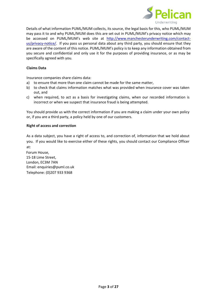

Details of what information PUML/MUM collects, its source, the legal basis for this, who PUML/MUM may pass it to and why PUML/MUM does this are set out in PUML/MUM's privacy notice which may be accessed on PUML/MUM's web site at [http://www.manchesterunderwriting.com/contact](http://www.manchesterunderwriting.com/contact-us/privacy-notice/)[us/privacy-notice/.](http://www.manchesterunderwriting.com/contact-us/privacy-notice/) If you pass us personal data about any third party, you should ensure that they are aware of the content of this notice. PUML/MUM's policy is to keep any information obtained from you secure and confidential and only use it for the purposes of providing insurance, or as may be specifically agreed with you.

## **Claims Data**

Insurance companies share claims data:

- a) to ensure that more than one claim cannot be made for the same matter,
- b) to check that claims information matches what was provided when insurance cover was taken out, and
- c) when required, to act as a basis for investigating claims, when our recorded information is incorrect or when we suspect that insurance fraud is being attempted.

You should provide us with the correct information if you are making a claim under your own policy or, if you are a third party, a policy held by one of our customers.

#### **Right of access and correction**

As a data subject, you have a right of access to, and correction of, information that we hold about you. If you would like to exercise either of these rights, you should contact our Compliance Officer at:

Forum House, 15-18 Lime Street, London, EC3M 7AN Email: enquiries@puml.co.uk Telephone: (0)207 933 9368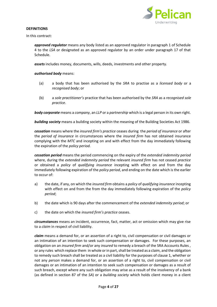

#### <span id="page-5-0"></span>**DEFINITIONS**

In this contract:

*approved regulator* means any body listed as an approved regulator in paragraph 1 of Schedule 4 to the *LSA* or designated as an approved regulator by an order under paragraph 17 of that Schedule.

*assets* includes money, documents, wills, deeds, investments and other property.

#### *authorised body* means:

- (a) a body that has been authorised by the *SRA* to practise as a *licensed body* or a *recognised body*; or
- (b) a *sole practitioner's* practice that has been authorised by the *SRA* as a *recognised sole practice.*

*body corporate* means a *company*, an *LLP* or a *partnership* which is a legal person in its own right.

*building society* means a building society within the meaning of the Building Societies Act 1986.

*cessation* means where the *insured firm's practice* ceases during the *period of insurance* or after the *period of insurance* in circumstances where the *insured firm* has not obtained insurance complying with the *MTC* and incepting on and with effect from the day immediately following the expiration of the *policy period.*

*cessation period* means the period commencing on the expiry of the *extended indemnity period* where, during the *extended indemnity period* the relevant *insured firm* has not ceased *practice* or obtained a *policy* of *qualifying insurance* incepting with effect on and from the day immediately following expiration of the *policy period*, and ending on the date which is the earlier to occur of:

- a) the date, if any, on which the *insured firm* obtains a *policy* of *qualifying insurance* incepting with effect on and from the from the day immediately following expiration of the *policy period*;
- b) the date which is 90 days after the commencement of the *extended indemnity period*; or
- c) the date on which the *insured firm's practice* ceases.

*circumstances* means an incident, occurrence, fact, matter, act or omission which may give rise to a *claim* in respect of civil liability.

*claim* means a demand for, or an assertion of a right to, civil compensation or civil damages or an intimation of an intention to seek such compensation or damages. For these purposes, an obligation on an *insured firm* and/or any *insured* to remedy a breach of the SRA Accounts Rules , or any rules which replace them in whole or in part, shall be treated as a claim, and the obligation to remedy such breach shall be treated as a civil liability for the purposes of clause 1, whether or not any *person* makes a demand for, or an assertion of a right to, civil compensation or civil damages or an intimation of an intention to seek such compensation or damages as a result of such breach, except where any such obligation may arise as a result of the insolvency of a bank (as defined in section 87 of the *SA*) or a *building society* which holds client money in a client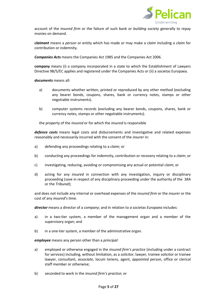

account of the *insured firm* or the failure of such bank or *building society* generally to repay monies on demand.

*claimant* means a *person* or entity which has made or may make a *claim* including a *claim* for contribution or indemnity.

*Companies Acts* means the Companies Act 1985 and the Companies Act 2006.

**company** means (i) a company incorporated in a state to which the Establishment of Lawyers Directive 98/5/EC applies and registered under the Companies Acts or (ii) a societas Europaea.

*documents* means all:

- a) documents whether written, printed or reproduced by any other method (excluding any bearer bonds, coupons, shares, bank or currency notes, stamps or other negotiable instruments).
- b) computer systems records (excluding any bearer bonds, coupons, shares, bank or currency notes, stamps or other negotiable instruments).

the property of the *insured* or for which the *insured* is responsible

*defence costs* means legal costs and disbursements and investigative and related expenses reasonably and necessarily incurred with the consent of the *insurer* in:

- a) defending any proceedings relating to a *claim*; or
- b) conducting any proceedings for indemnity, contribution or recovery relating to a *claim*; or
- c) investigating, reducing, avoiding or compromising any actual or potential *claim*; or
- d) acting for any *insured* in connection with any investigation, inquiry or disciplinary proceeding (save in respect of any disciplinary proceeding under the authority of the *SRA* or the *Tribunal*);

and does not include any internal or overhead expenses of the *insured firm* or the *insurer* or the cost of any *insured*'s time.

*director* means a director of a *company*; and in relation to *a societas Europaea* includes:

- a) in a two-tier system, a member of the management organ and a member of the supervisory organ; and
- b) in a one-tier system, a member of the administrative organ.

*employee* means any person other than a *principal*:

- a) employed or otherwise engaged in the *insured firm's practice* (including under a contract for services) including, without limitation, as a *solicitor*, lawyer, trainee solicitor or trainee lawyer, consultant, *associate*, locum tenens, agent, *appointed person*, office or clerical staff member or otherwise;
- b) seconded to work in the *insured firm's practice*; or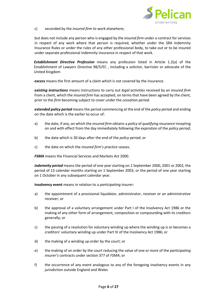

c) seconded by the *insured firm* to work elsewhere;

but does not include any person who is engaged by the *insured firm* under a contract for services in respect of any work where that person is required, whether under the SRA Indemnity Insurance Rules or under the rules of any other professional body, to take out or to be insured under separate professional indemnity insurance in respect of that work.

*Establishment Directive Profession* means any profession listed in Article 1.2(a) of the Establishment of Lawyers Directive 98/5/EC , including a *solicitor*, barrister or advocate of the United Kingdom

*excess* means the first amount of a *claim* which is not covered by the insurance.

*existing instructions* means instructions to carry out *legal activities* received by an *insured firm* from a client, which the *insured firm* has accepted, on terms that have been agreed by the client, prior to the *firm* becoming subject to cover under the *cessation period.*

*extended policy period* means the period commencing at the end of the *policy period* and ending on the date which is the earlier to occur of:

- a) the date, if any, on which the *insured firm* obtains a *policy* of *qualifying insurance* incepting on and with effect from the day immediately following the expiration of the *policy period*;
- b) the date which is 30 days after the end of the *policy period*; or
- c) the date on which the *insured firm's practice* ceases.

*FSMA* means the Financial Services and Markets Act 2000.

*indemnity period* means the period of one year starting on 1 September 2000, 2001 or 2002, the period of 13 calendar months starting on 1 September 2003, or the period of one year starting on 1 October in any subsequent calendar year.

**insolvency event** means in relation to a *participating insurer*:

- a) the appointment of a provisional liquidator, administrator, receiver or an administrative receiver; or
- b) the approval of a voluntary arrangement under Part I of the Insolvency Act 1986 or the making of any other form of arrangement, composition or compounding with its creditors generally; or
- c) the passing of a resolution for voluntary winding up where the winding up is or becomes a creditors' voluntary winding up under Part IV of the Insolvency Act 1986; or
- d) the making of a winding up order by the court; or
- e) the making of an order by the court reducing the value of one or more of the *participating insurer's* contracts under section 377 of *FSMA*; or
- f) the occurrence of any event analogous to any of the foregoing insolvency events in any jurisdiction outside England and Wales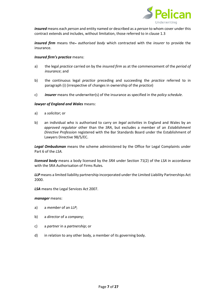

*insured* means each *person* and entity named or described as a *person* to whom cover under this contract extends and includes, without limitation, those referred to in clause 1.3

*insured firm* means the- *authorised body* which contracted with the *insurer* to provide the insurance.

## *Insured firm's practice* means:

- a) the legal *practice* carried on by the *insured firm* as at the commencement of the *period of insurance*; and
- b) the continuous legal *practice* preceding and succeeding the *practice* referred to in paragraph (i) (irrespective of changes in ownership of the *practice*)
- c) *insurer* means the underwriter(s) of the insurance as specified in the *policy schedule*.

#### *lawyer of England and Wales* means:

- a) a *solicitor*; or
- b) an individual who is authorised to carry on *legal activities* in England and Wales by an *approved regulator* other than the *SRA*, but excludes a member of an *Establishment Directive Profession* registered with the Bar Standards Board under the Establishment of Lawyers Directive 98/5/EC.

*Legal Ombudsman* means the scheme administered by the Office for Legal Complaints under Part 6 of the *LSA.*

*licensed body* means a body licensed by the *SRA* under Section 71(2) of the *LSA* in accordance with the SRA Authorisation of Firms Rules*.*

*LLP* means a limited liability partnership incorporated under the Limited Liability Partnerships Act 2000.

*LSA* means the Legal Services Act 2007.

*manager* means:

- a) a *member* of an *LLP*;
- b) a *director* of a *company*;
- c) a *partner* in a *partnership*; or
- d) in relation to any other body, a member of its governing body.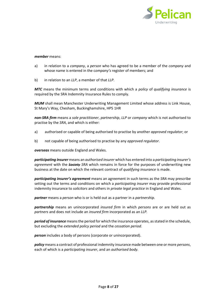

#### *member* means:

- a) in relation to a *company*, a *person* who has agreed to be a member of the *company* and whose name is entered in the c*ompany's* register of members; and
- b) in relation to an *LLP*, a member of that *LLP*.

*MTC* means the minimum terms and conditions with which a *policy* of *qualifying insurance* is required by the SRA Indemnity Insurance Rules to comply.

*MUM* shall mean Manchester Underwriting Management Limited whose address is Link House, St Mary's Way, Chesham, Buckinghamshire, HP5 1HR

*non-SRA firm* means a *sole practitioner*, *partnership*, *LLP* or *company* which is not authorised to practise by the *SRA*, and which is either:

- a) authorised or capable of being authorised to practise by another *approved regulator*; or
- b) not capable of being authorised to practise by any *approved regulator*.

*overseas* means outside England and Wales.

*participating insurer* means an *authorised insurer* which has entered into a *participating insurer's agreement* with the *Society SRA* which remains in force for the purposes of underwriting new business at the date on which the relevant contract of *qualifying insurance* is made.

*participating insurer's agreement* means an agreement in such terms as the *SRA* may prescribe setting out the terms and conditions on which a *participating insurer* may provide professional indemnity insurance to *solicitors* and others in *private legal practice* in England and Wales.

*partner* means a *person* who is or is held out as a partner in a *partnership.*

*partnership* means an unincorporated *insured firm* in which *persons* are or are held out as *partners* and does not include an *insured firm* incorporated as an *LLP.*

*period of insurance* means the period for which the insurance operates, as stated in the schedule, but excluding the *extended policy period* and the *cessation period*.

*person* includes a body of persons (corporate or unincorporated).

*policy* means a contract of professional indemnity insurance made between one or more *persons*, each of which is a *participating insurer*, and an *authorised body.*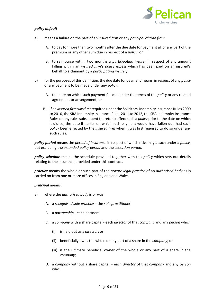

## *policy default*

- a) means a failure on the part of an *insured firm* or any *principal* of that *firm*:
	- A. to pay for more than two months after the due date for payment all or any part of the premium or any other sum due in respect of a *policy*; or
	- B. to reimburse within two months a *participating insurer* in respect of any amount falling within an *insured firm's policy* excess which has been paid on an insured's behalf to a claimant by a *participating insurer*,
- b) for the purposes of this definition, the due date for payment means, in respect of any *policy* or any payment to be made under any *policy*:
	- A. the date on which such payment fell due under the terms of the *policy* or any related agreement or arrangement; or
	- B. if an *insured firm* was first required under the Solicitors' Indemnity Insurance Rules 2000 to 2010, the SRA Indemnity Insurance Rules 2011 to 2012, the SRA Indemnity Insurance Rules or any rules subsequent thereto to effect such a *policy* prior to the date on which it did so, the date if earlier on which such payment would have fallen due had such *policy* been effected by the *insured firm* when it was first required to do so under any such rules.

*policy period* means the *period of insurance* in respect of which risks may attach under a *policy*, but excluding the *extended policy period* and the *cessation period*.

*policy schedule* means the schedule provided together with this *policy* which sets out details relating to the insurance provided under this contract.

*practice* means the whole or such part of the *private legal practice* of an *authorised body* as is carried on from one or more offices in England and Wales.

#### *principal* means:

- a) where the *authorised body* is or was:
	- A. a *recognised sole practice* the *sole practitioner*
	- B. a *partnership* each partner;
	- C. a *company* with a share capital each *director* of that *company* and any *person* who:
		- (i) is held out as a *director*; or
		- (ii) beneficially owns the whole or any part of a share in the *company*; or
		- (iii) is the ultimate beneficial owner of the whole or any part of a share in the *company*;
	- D. a *company* without a share capital each *director* of that *company* and any *person*  who: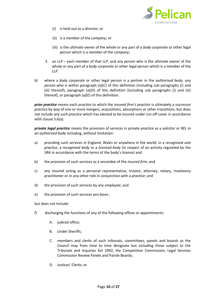

- (i) is held out as a *director*; or
- (ii) is a *member* of the *company*; or
- (iii) is the ultimate owner of the whole or any part of a *body corporate* or other legal person which is a *member* of the *company*;
- E. an *LLP*  each *member* of that *LLP*, and any *person* who is the ultimate owner of the whole or any part of a *body corporate* or other legal person which is a *member* of the *LLP*.
- b) where a *body corporate* or other legal person is a *partner* in the *authorised body*, any *person* who is within paragraph (a)(C) of this definition (including sub paragraphs (i) and (iii) thereof), paragraph (a)(D) of this definition (including sub paragraphs (i) and (iii) thereof), or paragraph (a)(E) of this definition.

*prior practice* means each *practice* to which the *insured firm's practice* is ultimately a *successor practice* by way of one or more mergers, acquisitions, absorptions or other transitions, but does not include any such *practice* which has elected to be insured under run-off cover in accordance with clause 5.6(a).

*private legal practice* means the provision of services in private *practice* as a *solicitor* or *REL in an authorised body* including, without limitation:

- a) providing such services in England, Wales or anywhere in the world, in a *recognised sole practice*, a *recognised body* or a *licensed body* (in respect of an activity regulated by the *SRA* in accordance with the terms of the body's licence) and
- b) the provision of such services as a secondee of the *insured firm*; and
- c) any *insured* acting as a personal representative, *trustee*, attorney, notary, insolvency practitioner or in any other role in conjunction with a *practice*; and
- d) the provision of such services by any *employee*; and
- e) the provision of such services pro bono ;

but does not include:

- f) discharging the functions of any of the following offices or appointments:
	- A. judicial office;
	- B. Under Sheriffs;
	- C. members and clerks of such tribunals, committees, panels and boards as the *Council* may from time to time designate but including those subject to the Tribunals and Inquiries Act 1992, the Competition Commission, Legal Services Commission Review Panels and Parole Boards;
	- D. Justices' Clerks; or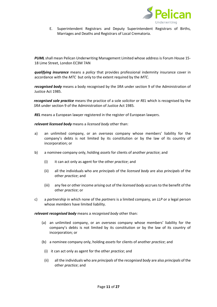

E. Superintendent Registrars and Deputy Superintendent Registrars of Births, Marriages and Deaths and Registrars of Local Crematoria.

*PUML* shall mean Pelican Underwriting Management Limited whose address is Forum House 15- 18 Lime Street, London EC3M 7AN

*qualifying insurance* means a *policy* that provides professional indemnity insurance cover in accordance with the *MTC* but only to the extent required by the *MTC*.

*recognised body* means a body recognised by the *SRA* under section 9 of the Administration of Justice Act 1985.

*recognised sole practice* means the practice of a sole *solicitor* or *REL* which is recognised by the *SRA* under section 9 of the Administration of Justice Act 1985*.*

*REL* means a European lawyer registered in the register of European lawyers.

*relevant licensed body* means a *licensed body* other than:

- a) an unlimited company, or an *overseas* company whose members' liability for the company's debts is not limited by its constitution or by the law of its country of incorporation; or
- b) a nominee company only, holding *assets* for clients of another *practice*; and
	- (i) it can act only as agent for the other *practice*; and
	- (ii) all the individuals who are *principals* of the *licensed body* are also *principals* of the other *practice*; and
	- (iii) any fee or other income arising out of the *licensed body* accrues to the benefit of the other *practice*; or
- c) a *partnership* in which none of the *partners* is a limited company, an *LLP* or a legal person whose *members* have limited liability.

*relevant recognised body* means a *recognised body* other than:

- (a) an unlimited company, or an *overseas* company whose members' liability for the company's debts is not limited by its constitution or by the law of its country of incorporation; or
- (b) a nominee company only, holding *assets* for clients of another *practice*; and
	- (i) it can act only as agent for the other *practice*; and
- (ii) all the individuals who are *principals* of the *recognised body* are also *principals* of the other *practice*; and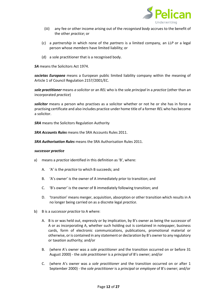

- (iii) any fee or other income arising out of the *recognised body* accrues to the benefit of the other *practice*; or
- (c) a *partnership* in which none of the *partners* is a limited company, an *LLP* or a legal person whose *members* have limited liability; or
- (d) a sole practitioner that is a recognised body.

*SA* means the Solicitors Act 1974.

*societas Europaea* means a European public limited liability company within the meaning of Article 1 of Council Regulation 2157/2001/EC.

*sole practitioner* means *a solicitor* or an *REL* who is the sole *principal* in a *practice* (other than an incorporated *practice*)

*solicitor* means a person who practises as a solicitor whether or not he or she has in force a practising certificate and also includes practice under home title of a former *REL* who has become a solicitor.

*SRA* means the Solicitors Regulation Authority

*SRA Accounts Rules* means the SRA Accounts Rules 2011.

*SRA Authorisation Rules* means the SRA Authorisation Rules 2011.

#### *successor practice*

- a) means a *practice* identified in this definition as 'B', where:
	- A. 'A' is the *practice* to which B succeeds; and
	- B. 'A's owner' is the owner of A immediately prior to transition; and
	- C. 'B's owner' is the owner of B immediately following transition; and
	- D. 'transition' means merger, acquisition, absorption or other transition which results in A no longer being carried on as a discrete legal *practice*.
- b) B is a *successor practice* to A where:
	- A. B is or was held out, expressly or by implication, by B's owner as being the successor of A or as incorporating A, whether such holding out is contained in notepaper, business cards, form of electronic communications, publications, promotional material or otherwise, or is contained in any statement or declaration by B's owner to any regulatory or taxation authority; and/or
	- B. (where A's owner was a *sole practitioner* and the transition occurred on or before 31 August 2000) - the *sole practitioner* is a *principal* of B's owner; and/or
	- C. (where A's owner was a *sole practitioner* and the transition occurred on or after 1 September 2000) - the *sole practitioner* is a *principal* or *employee* of B's owner; and/or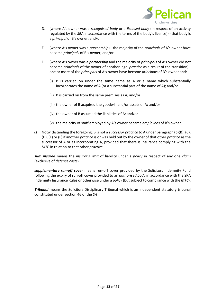

- D. (where A's owner was a *recognised body* or a *licensed body* (in respect of an activity regulated by the *SRA* in accordance with the terms of the body's licence)) - that body is a *principal* of B's owner; and/or
- E. (where A's owner was a *partnership*) the majority of the *principals* of A's owner have become *principals* of B's owner; and/or
- F. (where A's owner was a *partnership* and the majority of *principals* of A's owner did not become *principals* of the owner of another legal *practice* as a result of the transition) one or more of the *principals* of A's owner have become *principals* of B's owner and:
	- (i) B is carried on under the same name as A or a name which substantially incorporates the name of A (or a substantial part of the name of A); and/or
	- (ii) B is carried on from the same premises as A; and/or
	- (iii) the owner of B acquired the goodwill and/or assets of A; and/or
	- (iv) the owner of B assumed the liabilities of A; and/or
	- (v) the majority of staff employed by A's owner became *employees* of B's owner.
- c) Notwithstanding the foregoing, B is not a *successor practice* to A under paragraph (b)(B), (C), (D), (E) or (F) if another *practice* is or was held out by the owner of that other *practice* as the successor of A or as incorporating A, provided that there is insurance complying with the *MTC* in relation to that other *practice*.

*sum insured* means the *insurer's* limit of liability under a *policy* in respect of any one *claim*  (exclusive of *defence costs*).

*supplementary run-off cover* means run-off cover provided by the Solicitors Indemnity Fund following the expiry of run-off cover provided to an *authorised body* in accordance with the SRA Indemnity Insurance Rules or otherwise under a *policy* (but subject to compliance with the *MTC*).

*Tribunal* means the Solicitors Disciplinary Tribunal which is an independent statutory tribunal constituted under section 46 of the *SA*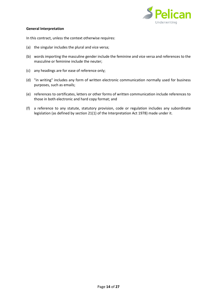

#### **General Interpretation**

In this contract, unless the context otherwise requires:

- (a) the singular includes the plural and vice versa;
- (b) words importing the masculine gender include the feminine and vice versa and references to the masculine or feminine include the neuter;
- (c) any headings are for ease of reference only;
- (d) "in writing" includes any form of written electronic communication normally used for business purposes, such as emails;
- (e) references to certificates, letters or other forms of written communication include references to those in both electronic and hard copy format; and
- (f) a reference to any statute, statutory provision, code or regulation includes any subordinate legislation (as defined by section 21(1) of the Interpretation Act 1978) made under it.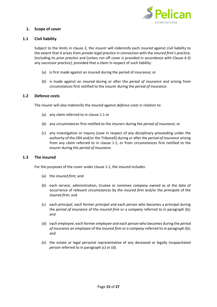

# <span id="page-16-0"></span>**1. Scope of cover**

## **1.1 Civil liability**

Subject to the limits in clause 2, the *insurer* will indemnify each *insured* against civil liability to the extent that it arises from *private legal practice* in connection with the *insured firm's practice*, (including its *prior practice* and (unless run off cover is provided in accordance with Clause 4.3) any *successor practice)*, provided that a *claim* in respect of such liability:

- (a) is first made against an insured during the period of insurance; or
- (b) is made against an *insured* during or after the *period of insurance* and arising from *circumstances* first notified to the *insurer* during the *period of insurance*.

#### **1.2 Defence costs**

The *insurer* will also indemnify the *insured* against *defence costs* in relation to:

- (a) any *claim* referred to in clause 1.1 or
- (b) any *circumstances* first notified to the *insurers* during the *period of insurance*; or
- (c) any investigation or inquiry (save in respect of any disciplinary proceeding under the authority of the *SRA* and/or the *Tribunal*)) during or after the *period of insurance* arising from any *claim* referred to in clause 1.1, or from *circumstances* first notified to the *insurer* during the *period of insurance*.

#### **1.3 The insured**

For the purposes of the cover under clause 1.1, the *insured* includes:

- (a) the *insured firm*; and
- (b) each service, administration, trustee or nominee *company* owned as at the date of occurrence of relevant *circumstances* by the *insured firm* and/or the *principals* of the *insured firm*; and
- (c) each *principal*, each former *principal* and each *person* who becomes a *principal* during the *period of insurance* of the *insured firm* or a *company* referred to in paragraph (b); and
- (d) each *employee*, each former *employee* and each *person* who becomes during the *period of insurance* an *employee* of the *insured firm* or a *company* referred to in paragraph (b); and
- (e) the estate or legal personal representative of any deceased or legally incapacitated *person* referred to in paragraph (c) or (d).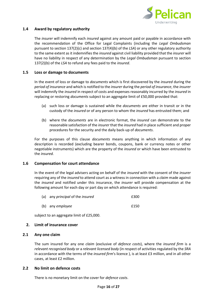

# **1.4 Award by regulatory authority**

The *insurer* will indemnify each *insured* against any amount paid or payable in accordance with the recommendation of the Office for Legal Complaints (including the *Legal Ombudsman* pursuant to section 137(2)(c) and section 137(4)(b) of the *LSA*) or any other regulatory authority to the same extent as it indemnifies the *insured* against civil liability provided that the *insurer* will have no liability in respect of any determination by the *Legal Ombudsman* pursuant to section 137(2)(b) of the *LSA* to refund any fees paid to the *insured*.

## **1.5 Loss or damage to documents**

In the event of loss or damage to *documents* which is first discovered by the *insured* during the *period of insurance* and which is notified to the *insurer* during the *period of insurance*, the *insurer* will indemnify the *insured* in respect of costs and expenses reasonably incurred by the *insured* in replacing or restoring *documents* subject to an aggregate limit of £50,000 provided that:

- (a) such loss or damage is sustained while the *documents* are either in transit or in the custody of the *insured* or of any person to whom the *insured* has entrusted them; and
- (b) where the *documents* are in electronic format, the *insured* can demonstrate to the reasonable satisfaction of the *insurer* that the *insured* had in place sufficient and proper procedures for the security and the daily back-up of *documents*.

For the purposes of this clause *documents* means anything in which information of any description is recorded (excluding bearer bonds, coupons, bank or currency notes or other negotiable instruments) which are the property of the *insured* or which have been entrusted to the *insured.*

#### **1.6 Compensation for court attendance**

In the event of the legal advisers acting on behalf of the *insured* with the consent of the *insurer* requiring any of the *insured* to attend court as a witness in connection with a *claim* made against the *insured* and notified under this insurance, the *insurer* will provide compensation at the following amount for each day or part day on which attendance is required:

| (a) any <i>principal</i> of the <i>insured</i> | £300 |
|------------------------------------------------|------|
|                                                |      |

(b) any *employee* E150

subject to an aggregate limit of £25,000.

#### <span id="page-17-0"></span>**2. Limit of insurance cover**

# **2.1 Any one claim**

The sum insured for any one *claim* (exclusive of *defence costs*), where the *insured firm* is a *relevant recognised body* or a *relevant licensed body* (in respect of activities regulated by the *SRA* in accordance with the terms of the *insured firm*'s licence ), is at least £3 million, and in all other cases, at least £2 million.

# **2.2 No limit on defence costs**

There is no monetary limit on the cover for *defence costs*.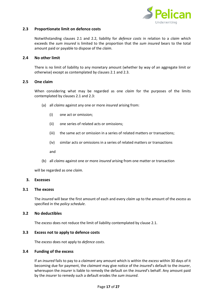

## **2.3 Proportionate limit on defence costs**

Notwithstanding clauses 2.1 and 2.2, liability for *defence costs* in relation to a *claim* which exceeds the *sum insured* is limited to the proportion that the *sum insured* bears to the total amount paid or payable to dispose of the *claim*.

#### **2.4 No other limit**

There is no limit of liability to any monetary amount (whether by way of an aggregate limit or otherwise) except as contemplated by clauses 2.1 and 2.3.

## **2.5 One claim**

When considering what may be regarded as one *claim* for the purposes of the limits contemplated by clauses 2.1 and 2.3:

- (a) all *claims* against any one or more *insured* arising from:
	- (i) one act or omission;
	- (ii) one series of related acts or omissions;
	- (iii) the same act or omission in a series of related matters or transactions;
	- (iv) similar acts or omissions in a series of related matters or transactions

and

(b) all *claims* against one or more *insured* arising from one matter or transaction

will be regarded as one *claim*.

## <span id="page-18-0"></span>**3. Excesses**

#### **3.1 The excess**

The *insured* will bear the first amount of each and every *claim* up to the amount of the *excess* as specified in the *policy schedule*.

## **3.2 No deductibles**

The *excess* does not reduce the limit of liability contemplated by clause 2.1.

#### **3.3 Excess not to apply to defence costs**

The *excess* does not apply to *defence costs*.

## **3.4 Funding of the excess**

If an *insured* fails to pay to a *claimant* any amount which is within the *excess* within 30 days of it becoming due for payment, the *claimant* may give notice of the *insured*'s default to the *insurer*, whereupon the *insurer* is liable to remedy the default on the *insured*'s behalf. Any amount paid by the *insurer* to remedy such a default erodes the *sum insured*.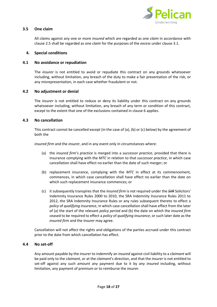

## **3.5 One claim**

All *claims* against any one or more *insured* which are regarded as one *claim* in accordance with clause 2.5 shall be regarded as one *claim* for the purposes of the *excess* under clause 3.1.

## <span id="page-19-0"></span>**4. Special conditions**

## **4.1 No avoidance or repudiation**

The *insurer* is not entitled to avoid or repudiate this contract on any grounds whatsoever including, without limitation, any breach of the duty to make a fair presentation of the risk, or any misrepresentation, in each case whether fraudulent or not.

## **4.2 No adjustment or denial**

The *insurer* is not entitled to reduce or deny its liability under this contract on any grounds whatsoever including, without limitation, any breach of any term or condition of this contract, except to the extent that one of the exclusions contained in clause 6 applies.

## **4.3 No cancellation**

This contract cannot be cancelled except (in the case of (a), (b) or (c) below) by the agreement of both the

*insured firm* and the *insurer*, and in any event only in circumstances where:

- (a) the *insured firm's practice* is merged into a *successor practice*, provided that there is insurance complying with the *MTC* in relation to that *successor practice*, in which case cancellation shall have effect no earlier than the date of such merger; or
- (b) replacement insurance, complying with the *MTC* in effect at its commencement, commences, in which case cancellation shall have effect no earlier than the date on which such replacement insurance commences; or
- (c) it subsequently transpires that the *insured firm* is not required under the *SIIR* Solicitors' Indemnity Insurance Rules 2000 to 2010, the SRA Indemnity Insurance Rules 2011 to 2012, the SRA Indemnity Insurance Rules or any rules subsequent thereto to effect a *policy* of *qualifying insurance*, in which case cancellation shall have effect from the later of (a) the start of the relevant *policy period* and (b) the date on which the *insured firm*  ceased to be required to effect a *policy* of *qualifying insurance*, or such later date as the *insured firm* and the *insurer* may agree.

Cancellation will not affect the rights and obligations of the parties accrued under this contract prior to the date from which cancellation has effect.

#### **4.4 No set-off**

Any amount payable by the *insurer* to indemnify an *insured* against civil liability to a *claimant* will be paid only to the *claimant*, or at the *claimant*'s direction, and that the *insurer* is not entitled to set-off against any such amount any payment due to it by any *insured* including, without limitation, any payment of premium or to reimburse the *insurer*.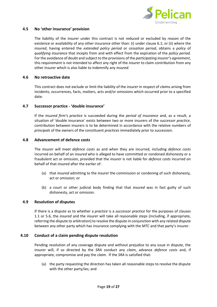

## **4.5 No 'other insurance' provision**

The liability of the *insurer* under this contract is not reduced or excluded by reason of the existence or availability of any other insurance other than: (i) under clause 6.1; or (ii) where the *insured*, having entered the *extended policy period* or *cessation period*, obtains a *policy* of *qualifying insurance* that incepts from and with effect from the expiration of the *policy period*. For the avoidance of doubt and subject to the provisions of the *participating insurer's agreement*, this requirement is not intended to affect any right of the *insurer* to claim contribution from any other insurer which is also liable to indemnify any *insured*.

#### **4.6 No retroactive date**

This contract does not exclude or limit the liability of the *insurer* in respect of *claims* arising from incidents, occurrences, facts, matters, acts and/or omissions which occurred prior to a specified date.

#### **4.7 Successor practice - 'double insurance'**

If the *insured firm's practice* is succeeded during the *period of insurance* and, as a result, a situation of 'double insurance' exists between two or more insurers of the *successor practice*, contribution between insurers is to be determined in accordance with the relative numbers of *principals* of the owners of the constituent *practices* immediately prior to succession.

#### **4.8 Advancement of defence costs**

The *insurer* will meet *defence costs* as and when they are incurred, including *defence costs* incurred on behalf of an *insured* who is alleged to have committed or condoned dishonesty or a fraudulent act or omission, provided that the *insurer* is not liable for *defence costs* incurred on behalf of that *insured* after the earlier of:

- (a) that *insured* admitting to the *insurer* the commission or condoning of such dishonesty, act or omission; or
- (b) a court or other judicial body finding that that *insured* was in fact guilty of such dishonesty, act or omission.

#### **4.9 Resolution of disputes**

If there is a dispute as to whether a *practice* is a *successor practice* for the purposes of clauses 1.1 or 5.6, the *insured* and the *insurer* will take all reasonable steps (including, if appropriate, referring the dispute to arbitration) to resolve the dispute in conjunction with any related dispute between any other party which has insurance complying with the *MTC* and that party's insurer.

#### **4.10 Conduct of a claim pending dispute resolution**

Pending resolution of any coverage dispute and without prejudice to any issue in dispute, the *insurer* will, if so directed by the *SRA* conduct any *claim*, advance *defence costs* and, if appropriate, compromise and pay the *claim*. If the *SRA* is satisfied that:

(a) the party requesting the direction has taken all reasonable steps to resolve the dispute with the other party/ies; and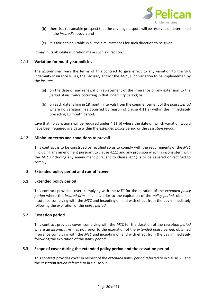

- (b) there is a reasonable prospect that the coverage dispute will be resolved or determined in the *insured's* favour; and
- (c) it is fair and equitable in all the circumstances for such direction to be given;

it may in its absolute discretion make such a direction.

## **4.11 Variation for multi-year policies**

The *insurer* shall vary the terms of this contract to give effect to any variation to the SRA Indemnity Insurance Rules, the Glossary and/or the *MTC*, such variation to be implemented by the *insurer*:

- (a) on the date of any renewal or replacement of the insurance or any extension to the *period of insurance* occurring in that *indemnity period*; or
- (b) on each date falling in 18 month intervals from the commencement of the *policy period* where no variation has occurred by reason of clause 4.11(a) within the immediately preceding 18 month period.

save that no variation shall be required under 4.11(b) where the date on which variation would have been required is a date within the *extended policy* period or the *cessation period*.

## **4.12 Minimum terms and conditions to prevail**

This contract is to be construed or rectified so as to comply with the requirements of the *MTC* (including any amendment pursuant to clause 4.11) and any provision which is inconsistent with the *MTC* (including any amendment pursuant to clause 4.11) is to be severed or rectified to comply.

#### <span id="page-21-0"></span>**5. Extended policy period and run-off cover**

# **5.1 Extended policy period**

This contract provides cover, complying with the *MTC* for the duration of the *extended policy period* where the *insured firm* has not, prior to the expiration of the *policy period*, obtained insurance complying with the *MTC* and incepting on and with effect from the day immediately following the expiration of the *policy period*.

#### **5.2 Cessation period**

This contract provides cover, complying with the *MTC* for the duration of the *cessation period*  where an *insured firm* has not, prior to the expiration of the *extended policy period*, obtained insurance complying with the *MTC* and incepting on and with effect from the day immediately following the expiration of the *policy period*.

# **5.3 Scope of cover during the extended policy period and the cessation period**

This contract provides cover in respect of the *extended policy period* referred to in clause 5.1 and the *cessation period* referred to in clause 5.2.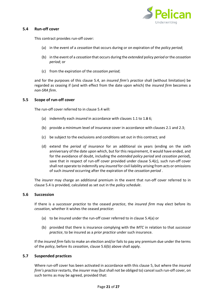

## **5.4 Run-off cover**

This contract provides run-off cover:

- (a) in the event of a *cessation* that occurs during or on expiration of the *policy period*;
- (b) in the event of a *cessation* that occurs during the *extended* policy *period* or the *cessation period*; or
- (c) from the expiration of the *cessation period*;

and for the purposes of this clause 5.4, an *insured firm's practice* shall (without limitation) be regarded as ceasing if (and with effect from the date upon which) the *insured firm* becomes a *non-SRA firm*.

#### **5.5 Scope of run-off cover**

The run-off cover referred to in clause 5.4 will:

- (a) indemnify each *insured* in accordance with clauses 1.1 to 1.8 6;
- (b) provide a minimum level of insurance cover in accordance with clauses 2.1 and 2.3;
- (c) be subject to the exclusions and conditions set out in this contract*;* and
- (d) extend the *period of insurance* for an additional six years (ending on the sixth anniversary of the date upon which, but for this requirement, it would have ended, and for the avoidance of doubt, including the *extended policy period* and *cessation period*), save that in respect of run-off cover provided under clause 5.4(c), such run-off cover shall not operate to indemnify any *insured* for civil liability arising from acts or omissions of such *insured* occurring after the expiration of the *cessation period* .

The *insurer* may charge an additional premium in the event that run-off cover referred to in clause 5.4 is provided, calculated as set out in the *policy schedule*.

#### **5.6 Succession**

If there is a *successor practice* to the ceased *practice*, the *insured firm* may elect before its *cessation*, whether it wishes the ceased *practice*:

- (a) to be insured under the run-off cover referred to in clause 5.4(a) or
- (b) provided that there is insurance complying with the *MTC* in relation to that *successor practice*, to be insured as a *prior practice* under such insurance.

If the *insured firm* fails to make an election and/or fails to pay any premium due under the terms of the *policy*, before its *cessation*, clause 5.6(b) above shall apply.

#### **5.7 Suspended practices**

Where run-off cover has been activated in accordance with this clause 5, but where the *insured firm's practice* restarts, the *insurer* may (but shall not be obliged to) cancel such run-off cover, on such terms as may be agreed, provided that: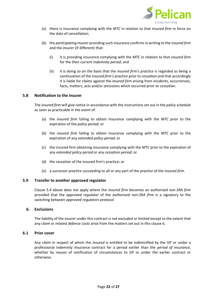

- (a) there is insurance complying with the *MTC* in relation to that *insured firm* in force on the date of cancellation;
- (b) the *participating insurer* providing such insurance confirms in writing to the *insured firm* and the *insurer* (if different) that:
	- (i) it is providing insurance complying with the *MTC* in relation to that *insured firm*  for the then current *indemnity period*; and
	- (ii) it is doing so on the basis that the *insured firm's practice* is regarded as being a continuation of the *insured firm's practice* prior to *cessation* and that accordingly it is liable for *claims* against the *insured firm* arising from incidents, occurrences, facts, matters, acts and/or omissions which occurred prior to *cessation*.

## **5.8 Notification to the insurer**

The *insured firm* will give notice in accordance with the instructions set out in the *policy schedule* as soon as practicable in the event of:

- (a) the *insured firm* failing to obtain insurance complying with the *MTC* prior to the expiration of the *policy period*; or
- (b) the *insured firm* failing to obtain insurance complying with the *MTC* prior to the expiration of any *extended policy period*; or
- (c) the insured firm obtaining insurance complying with the *MTC* prior to the expiration of any *extended policy period* or any *cessation period*; or
- (d) the cessation of the insured firm's practice; or
- (e) a *successor practice* succeeding to all or any part of the *practice* of the *insured firm*.

#### **5.9 Transfer to another approved regulator**

Clause 5.4 above does not apply where the *insured firm* becomes an *authorised non-SRA firm*  provided that the *approved regulator* of the *authorised non-SRA firm* is a signatory to the switching between *approved regulators* protocol

## <span id="page-23-0"></span>**6. Exclusions**

The liability of the *insurer* under this contract is not excluded or limited except to the extent that any *claim* or related *defence costs* arise from the matters set out in this clause 6.

## **6.1 Prior cover**

Any *claim* in respect of which the *insured* is entitled to be indemnified by the *SIF* or under a professional indemnity insurance contract for a period earlier than the *period of insurance*, whether by reason of notification of *circumstances* to *SIF* or under the earlier contract or otherwise.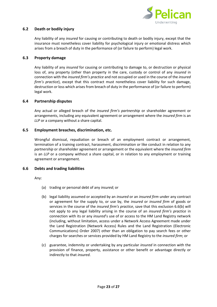

# **6.2 Death or bodily injury**

Any liability of any *insured* for causing or contributing to death or bodily injury, except that the insurance must nonetheless cover liability for psychological injury or emotional distress which arises from a breach of duty in the performance of (or failure to perform) legal work.

## **6.3 Property damage**

Any liability of any *insured* for causing or contributing to damage to, or destruction or physical loss of, any property (other than property in the care, custody or control of any *insured* in connection with the *insured firm's practice* and not occupied or used in the course of the *insured firm's practice*), except that this contract must nonetheless cover liability for such damage, destruction or loss which arises from breach of duty in the performance of (or failure to perform) legal work.

## **6.4 Partnership disputes**

Any actual or alleged breach of the *insured firm's partnership* or shareholder agreement or arrangements, including any equivalent agreement or arrangement where the *insured firm* is an *LLP* or a company without a share capital.

## **6.5 Employment breaches, discrimination, etc.**

Wrongful dismissal, repudiation or breach of an employment contract or arrangement, termination of a training contract, harassment, discrimination or like conduct in relation to any *partnership* or shareholder agreement or arrangement or the equivalent where the *insured firm* is an *LLP* or a company without a share capital, or in relation to any employment or training agreement or arrangement.

# **6.6 Debts and trading liabilities**

Any:

- (a) trading or personal debt of any *insured*; or
- (b) legal liability assumed or accepted by an *insured* or an *insured firm* under any contract or agreement for the supply to, or use by, the *insured* or *insured firm* of goods or services in the course of the *insured firm's practice*, save that this exclusion 6.6(b) will not apply to any legal liability arising in the course of an *insured firm's practice* in connection with its or any *insured*'s use of or access to the HM Land Registry network (including, without limitation, access under a Network Access Agreement made under the Land Registration (Network Access) Rules and the Land Registration (Electronic Communications) Order 2007) other than an obligation to pay search fees or other charges for searches or services provided by HM Land Registry to the *insured firm*; or
- (c) guarantee, indemnity or undertaking by any particular *insured* in connection with the provision of finance, property, assistance or other benefit or advantage directly or indirectly to that *insured*.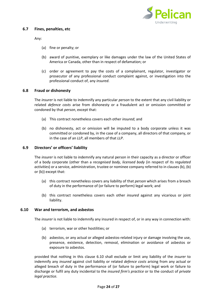

#### **6.7 Fines, penalties, etc**

Any:

- (a) fine or penalty; or
- (b) award of punitive, exemplary or like damages under the law of the United States of America or Canada, other than in respect of defamation; or
- (c) order or agreement to pay the costs of a complainant, regulator, investigator or prosecutor of any professional conduct complaint against, or investigation into the professional conduct of, any *insured*.

## **6.8 Fraud or dishonesty**

The *insurer* is not liable to indemnify any particular *person* to the extent that any civil liability or related *defence costs* arise from dishonesty or a fraudulent act or omission committed or condoned by that *person*, except that:

- (a) This contract nonetheless covers each other *insured*; and
- (b) no dishonesty, act or omission will be imputed to a body corporate unless it was committed or condoned by, in the case of a company, all directors of that company, or in the case of an *LLP*, all members of that *LLP*.

## **6.9 Directors' or officers' liability**

The *insurer* is not liable to indemnify any natural person in their capacity as a director or officer of a body corporate (other than a *recognised body, licensed body* (in respect of its *regulated activities*) or a service, administration, trustee or nominee company referred to in clauses (b), (b) or (b)) except that:

- (a) this contract nonetheless covers any liability of that *person* which arises from a breach of duty in the performance of (or failure to perform) legal work; and
- (b) this contract nonetheless covers each other *insured* against any vicarious or joint liability.

#### **6.10 War and terrorism, and asbestos**

The *insurer* is not liable to indemnify any insured in respect of, or in any way in connection with:

- (a) terrorism, war or other hostilities; or
- (b) asbestos, or any actual or alleged asbestos-related injury or damage involving the use, presence, existence, detection, removal, elimination or avoidance of asbestos or exposure to asbestos.

provided that nothing in this clause 6.10 shall exclude or limit any liability of the *insurer* to indemnify any *insured* against civil liability or related *defence costs* arising from any actual or alleged breach of duty in the performance of (or failure to perform) legal work or failure to discharge or fulfil any duty incidental to the *insured firm's practice* or to the conduct of *private legal practice.*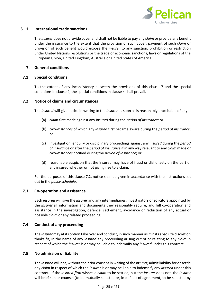

## **6.11 International trade sanctions**

The *insurer* does not provide cover and shall not be liable to pay any *claim* or provide any benefit under the insurance to the extent that the provision of such cover, payment of such *claim* or provision of such benefit would expose the *insurer* to any sanction, prohibition or restriction under United Nations resolutions or the trade or economic sanctions, laws or regulations of the European Union, United Kingdom, Australia or United States of America.

## <span id="page-26-0"></span>**7. General conditions**

## **7.1 Special conditions**

To the extent of any inconsistency between the provisions of this clause 7 and the special conditions in clause 4, the special conditions in clause 4 shall prevail.

## **7.2 Notice of claims and circumstances**

The *insured* will give notice in writing to the *insurer* as soon as is reasonably practicable of any:

- (a) *claim* first made against any *insured* during the *period of insurance*; or
- (b) *circumstances* of which any *insured* first became aware during the *period of insurance*; or
- (c) investigation, enquiry or disciplinary proceedings against any *insured* during the *period of insurance* or after the *period of insurance* if in any way relevant to any *claim* made or *circumstances* notified during the *period of insurance*; or
- (d) reasonable suspicion that the insured may have of fraud or dishonesty on the part of any insured whether or not giving rise to a claim.

For the purposes of this clause 7.2, notice shall be given in accordance with the instructions set out in the *policy schedule*.

#### **7.3 Co-operation and assistance**

Each *insured* will give the *insurer* and any intermediaries, investigators or solicitors appointed by the *insurer* all information and documents they reasonably require, and full co-operation and assistance in the investigation, defence, settlement, avoidance or reduction of any actual or possible *claim* or any related proceeding.

# **7.4 Conduct of any proceeding**

The *insurer* may at its option take over and conduct, in such manner as it in its absolute discretion thinks fit, in the name of any *insured* any proceeding arising out of or relating to any *claim* in respect of which the *insurer* is or may be liable to indemnify any *insured* under this contract.

# **7.5 No admission of liability**

The *insured* will not, without the prior consent in writing of the *insurer*, admit liability for or settle any *claim* in respect of which the *insurer* is or may be liable to indemnify any *insured* under this contract. If the *insured firm* wishes a *claim* to be settled, but the *insurer* does not, the *insurer* will brief senior counsel (to be mutually selected or, in default of agreement, to be selected by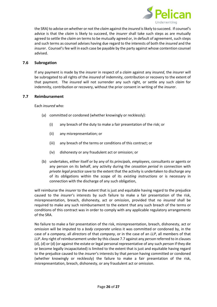

the SRA) to advise on whether or not the *claim* against the *insured* is likely to succeed. If counsel's advice is that the *claim* is likely to succeed, the *insurer* shall take such steps as are mutually agreed to settle the *claim* on terms to be mutually agreed or, in default of agreement, such steps and such terms as counsel advises having due regard to the interests of both the *insured* and the *insurer*. Counsel's fee will in each case be payable by the party against whose contention counsel advised.

## **7.6 Subrogation**

If any payment is made by the *insurer* in respect of a *claim* against any *insured*, the *insurer* will be subrogated to all rights of the *insured* of indemnity, contribution or recovery to the extent of that payment. The *insured* will not surrender any such right, or settle any such *claim* for indemnity, contribution or recovery, without the prior consent in writing of the *insurer*.

## **7.7 Reimbursement**

Each *insured* who:

- (a) committed or condoned (whether knowingly or recklessly):
	- (i) any breach of the duty to make a fair presentation of the risk; or
	- (ii) any misrepresentation; or
	- (iii) any breach of the terms or conditions of this contract; or
	- (iv) dishonesty or any fraudulent act or omission; or
- (b) undertakes, either itself or by any of its *principals*, *employees*, consultants or agents or any person on its behalf, any activity during the *cessation period* in connection with *private legal practice* save to the extent that the activity is undertaken to discharge any of its obligations within the scope of its *existing instructions* or is necessary in connection with the discharge of any such obligation,

will reimburse the *insurer* to the extent that is just and equitable having regard to the prejudice caused to the *insurer*'s interests by such failure to make a fair presentation of the risk, misrepresentation, breach, dishonesty, act or omission, provided that no *insured* shall be required to make any such reimbursement to the extent that any such breach of the terms or conditions of this contract was in order to comply with any applicable regulatory arrangements of the SRA.

No failure to make a fair presentation of the risk, misrepresentation, breach, dishonesty, act or omission will be imputed to a *body corporate* unless it was committed or condoned by, in the case of a *company*, all *directors* of that *company*, or in the case of an *LLP*, all members of that *LLP*. Any right of reimbursement under by this clause 7.7 against any *person* referred to in clauses (d), (d) or (d) (or against the estate or legal personal representative of any such *person* if they die or become legally incapacitated) is limited to the extent that is just and equitable having regard to the prejudice caused to the *insurer*'s interests by that *person* having committed or condoned (whether knowingly or recklessly) the failure to make a fair presentation of the risk, misrepresentation, breach, dishonesty, or any fraudulent act or omission.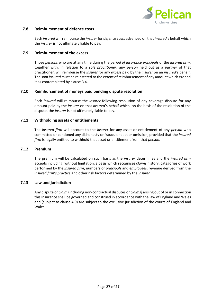

## **7.8 Reimbursement of defence costs**

Each *insured* will reimburse the *insurer* for *defence costs* advanced on that *insured*'s behalf which the *insurer* is not ultimately liable to pay.

#### **7.9 Reimbursement of the excess**

Those *persons* who are at any time during the *period of insurance principals* of the *insured firm*, together with, in relation to a *sole practitioner*, any *person* held out as a *partner* of that practitioner, will reimburse the *insurer* for any *excess* paid by the *insurer* on an *insured*'s behalf. The *sum insured* must be reinstated to the extent of reimbursement of any amount which eroded it as contemplated by clause 3.4.

## **7.10 Reimbursement of moneys paid pending dispute resolution**

Each *insured* will reimburse the *insurer* following resolution of any coverage dispute for any amount paid by the *insurer* on that *insured*'s behalf which, on the basis of the resolution of the dispute, the *insurer* is not ultimately liable to pay.

## **7.11 Withholding assets or entitlements**

The *insured firm* will account to the *insurer* for any asset or entitlement of any *person* who committed or condoned any dishonesty or fraudulent act or omission, provided that the *insured firm* is legally entitled to withhold that asset or entitlement from that *person*.

#### **7.12 Premium**

The premium will be calculated on such basis as the *insurer* determines and the *insured firm* accepts including, without limitation, a basis which recognises *claims* history, categories of work performed by the *insured firm*, numbers of *principals* and *employee*s, revenue derived from the *insured firm's practice* and other risk factors determined by the *insurer*.

#### **7.13 Law and jurisdiction**

Any dispute or *claim* (including non-contractual disputes or *claims)* arising out of or in connection this Insurance shall be governed and construed in accordance with the law of England and Wales and (subject to clause 4.9) are subject to the exclusive jurisdiction of the courts of England and Wales.